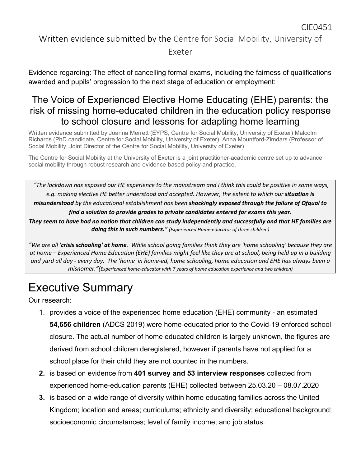#### Written evidence submitted by the Centre for Social Mobility, University of

#### Exeter

Evidence regarding: The effect of cancelling formal exams, including the fairness of qualifications awarded and pupils' progression to the next stage of education or employment:

#### The Voice of Experienced Elective Home Educating (EHE) parents: the risk of missing home-educated children in the education policy response to school closure and lessons for adapting home learning

Written evidence submitted by Joanna Merrett (EYPS, Centre for Social Mobility, University of Exeter) Malcolm Richards (PhD candidate, Centre for Social Mobility, University of Exeter), Anna Mountford-Zimdars (Professor of Social Mobility, Joint Director of the Centre for Social Mobility, University of Exeter)

The Centre for Social Mobility at the University of Exeter is a joint practitioner-academic centre set up to advance social mobility through robust research and evidence-based policy and practice.

"The lockdown has exposed our HE experience to the mainstream and I think this could be positive in some ways, *e.g. making elective HE better understood and accepted. However, the extent to which our situation is misunderstood by the educational establishment has been shockingly exposed through the failure of Ofqual to find a solution to provide grades to private candidates entered for exams this year.* They seem to have had no notion that children can study independently and successfully and that HE families are *doing this in such numbers." (Experienced Home-educator of three children)*

"We are all 'crisis schooling' at home. While school going families think they are 'home schooling' because they are at home – Experienced Home Education (EHE) families might feel like they are at school, being held up in a building and yard all day - every day. The 'home' in home-ed, home schooling, home education and EHE has always been a *misnomer."(Experienced home-educator with 7 years of home education experience and two children)*

## Executive Summary

Our research:

- 1. provides a voice of the experienced home education (EHE) community an estimated **54,656 children** (ADCS 2019) were home-educated prior to the Covid-19 enforced school closure. The actual number of home educated children is largely unknown, the figures are derived from school children deregistered, however if parents have not applied for a school place for their child they are not counted in the numbers.
- **2.** is based on evidence from **401 survey and 53 interview responses** collected from experienced home-education parents (EHE) collected between 25.03.20 – 08.07.2020
- **3.** is based on a wide range of diversity within home educating families across the United Kingdom; location and areas; curriculums; ethnicity and diversity; educational background; socioeconomic circumstances; level of family income; and job status.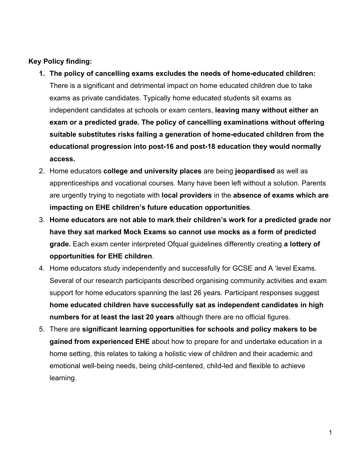#### **Key Policy finding:**

- **1. The policy of cancelling exams excludes the needs of home-educated children:** There is a significant and detrimental impact on home educated children due to take exams as private candidates. Typically home educated students sit exams as independent candidates at schools or exam centers, **leaving many without either an exam or a predicted grade. The policy of cancelling examinations without offering suitable substitutes risks failing a generation of home-educated children from the educational progression into post-16 and post-18 education they would normally access.**
- 2. Home educators **college and university places** are being **jeopardised** as well as apprenticeships and vocational courses. Many have been left without a solution. Parents are urgently trying to negotiate with **local providers** in the **absence of exams which are impacting on EHE children's future education opportunities**.
- 3. **Home educators are not able to mark their children's work for a predicted grade nor have they sat marked Mock Exams so cannot use mocks as a form of predicted grade.** Each exam center interpreted Ofqual guidelines differently creating **a lottery of opportunities for EHE children**.
- 4. Home educators study independently and successfully for GCSE and A 'level Exams. Several of our research participants described organising community activities and exam support for home educators spanning the last 26 years. Participant responses suggest **home educated children have successfully sat as independent candidates in high numbers for at least the last 20 years** although there are no official figures.
- 5. There are **significant learning opportunities for schools and policy makers to be gained from experienced EHE** about how to prepare for and undertake education in a home setting, this relates to taking a holistic view of children and their academic and emotional well-being needs, being child-centered, child-led and flexible to achieve learning.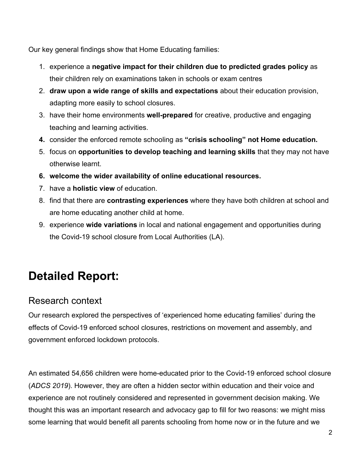Our key general findings show that Home Educating families:

- 1. experience a **negative impact for their children due to predicted grades policy** as their children rely on examinations taken in schools or exam centres
- 2. **draw upon a wide range of skills and expectations** about their education provision, adapting more easily to school closures.
- 3. have their home environments **well-prepared** for creative, productive and engaging teaching and learning activities.
- **4.** consider the enforced remote schooling as **"crisis schooling" not Home education.**
- 5. focus on **opportunities to develop teaching and learning skills** that they may not have otherwise learnt.
- **6. welcome the wider availability of online educational resources.**
- 7. have a **holistic view** of education.
- 8. find that there are **contrasting experiences** where they have both children at school and are home educating another child at home.
- 9. experience **wide variations** in local and national engagement and opportunities during the Covid-19 school closure from Local Authorities (LA).

# **Detailed Report:**

### Research context

Our research explored the perspectives of 'experienced home educating families' during the effects of Covid-19 enforced school closures, restrictions on movement and assembly, and government enforced lockdown protocols.

An estimated 54,656 children were home-educated prior to the Covid-19 enforced school closure (*ADCS 2019*). However, they are often a hidden sector within education and their voice and experience are not routinely considered and represented in government decision making. We thought this was an important research and advocacy gap to fill for two reasons: we might miss some learning that would benefit all parents schooling from home now or in the future and we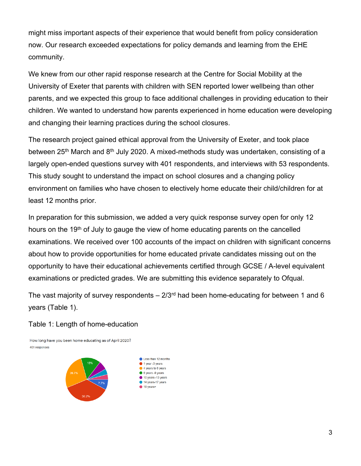might miss important aspects of their experience that would benefit from policy consideration now. Our research exceeded expectations for policy demands and learning from the EHE community.

We knew from our other rapid response research at the Centre for Social Mobility at the University of Exeter that parents with children with SEN reported lower wellbeing than other parents, and we expected this group to face additional challenges in providing education to their children. We wanted to understand how parents experienced in home education were developing and changing their learning practices during the school closures.

The research project gained ethical approval from the University of Exeter, and took place between 25<sup>th</sup> March and 8<sup>th</sup> July 2020. A mixed-methods study was undertaken, consisting of a largely open-ended questions survey with 401 respondents, and interviews with 53 respondents. This study sought to understand the impact on school closures and a changing policy environment on families who have chosen to electively home educate their child/children for at least 12 months prior.

In preparation for this submission, we added a very quick response survey open for only 12 hours on the 19<sup>th</sup> of July to gauge the view of home educating parents on the cancelled examinations. We received over 100 accounts of the impact on children with significant concerns about how to provide opportunities for home educated private candidates missing out on the opportunity to have their educational achievements certified through GCSE / A-level equivalent examinations or predicted grades. We are submitting this evidence separately to Ofqual.

The vast majority of survey respondents  $-2/3$ <sup>rd</sup> had been home-educating for between 1 and 6 years (Table 1).

#### Table 1: Length of home-education

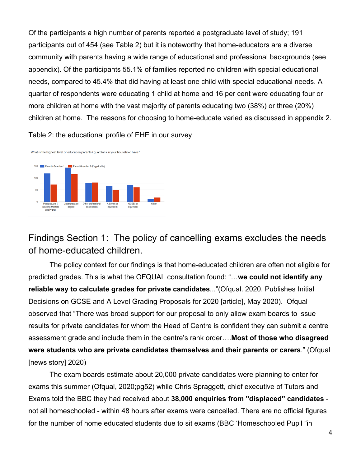Of the participants a high number of parents reported a postgraduate level of study; 191 participants out of 454 (see Table 2) but it is noteworthy that home-educators are a diverse community with parents having a wide range of educational and professional backgrounds (see appendix). Of the participants 55.1% of families reported no children with special educational needs, compared to 45.4% that did having at least one child with special educational needs. A quarter of respondents were educating 1 child at home and 16 per cent were educating four or more children at home with the vast majority of parents educating two (38%) or three (20%) children at home. The reasons for choosing to home-educate varied as discussed in appendix 2.

Table 2: the educational profile of EHE in our survey



Findings Section 1: The policy of cancelling exams excludes the needs of home-educated children.

The policy context for our findings is that home-educated children are often not eligible for predicted grades. This is what the OFQUAL consultation found: "…**we could not identify any reliable way to calculate grades for private candidates**..."(Ofqual. 2020. Publishes Initial Decisions on GCSE and A Level Grading Proposals for 2020 [article], May 2020). Ofqual observed that "There was broad support for our proposal to only allow exam boards to issue results for private candidates for whom the Head of Centre is confident they can submit a centre assessment grade and include them in the centre's rank order….**Most of those who disagreed were students who are private candidates themselves and their parents or carers**." (Ofqual [news story] 2020)

The exam boards estimate about 20,000 private candidates were planning to enter for exams this summer (Ofqual, 2020;pg52) while Chris Spraggett, chief executive of Tutors and Exams told the BBC they had received about **38,000 enquiries from "displaced" candidates** not all homeschooled - within 48 hours after exams were cancelled. There are no official figures for the number of home educated students due to sit exams (BBC 'Homeschooled Pupil "in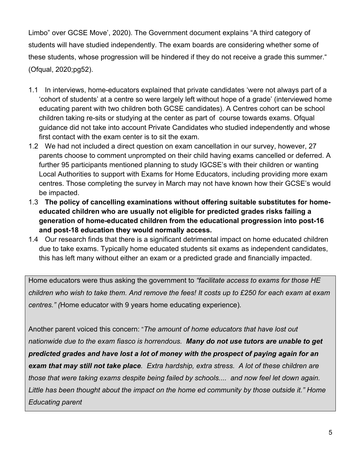Limbo" over GCSE Move', 2020). The Government document explains "A third category of students will have studied independently. The exam boards are considering whether some of these students, whose progression will be hindered if they do not receive a grade this summer." (Ofqual, 2020;pg52).

- 1.1 In interviews, home-educators explained that private candidates 'were not always part of a 'cohort of students' at a centre so were largely left without hope of a grade' (interviewed home educating parent with two children both GCSE candidates). A Centres cohort can be school children taking re-sits or studying at the center as part of course towards exams. Ofqual guidance did not take into account Private Candidates who studied independently and whose first contact with the exam center is to sit the exam.
- 1.2 We had not included a direct question on exam cancellation in our survey, however, 27 parents choose to comment unprompted on their child having exams cancelled or deferred. A further 95 participants mentioned planning to study IGCSE's with their children or wanting Local Authorities to support with Exams for Home Educators, including providing more exam centres. Those completing the survey in March may not have known how their GCSE's would be impacted.
- 1.3 **The policy of cancelling examinations without offering suitable substitutes for homeeducated children who are usually not eligible for predicted grades risks failing a generation of home-educated children from the educational progression into post-16 and post-18 education they would normally access.**
- 1.4 Our research finds that there is a significant detrimental impact on home educated children due to take exams. Typically home educated students sit exams as independent candidates, this has left many without either an exam or a predicted grade and financially impacted.

Home educators were thus asking the government to *"facilitate access to exams for those HE* children who wish to take them. And remove the fees! It costs up to £250 for each exam at exam *centres." (*Home educator with 9 years home educating experience)*.*

Another parent voiced this concern: "*The amount of home educators that have lost out nationwide due to the exam fiasco is horrendous. Many do not use tutors are unable to get predicted grades and have lost a lot of money with the prospect of paying again for an exam that may still not take place. Extra hardship, extra stress. A lot of these children are those that were taking exams despite being failed by schools.... and now feel let down again. Little has been thought about the impact on the home ed community by those outside it." Home Educating parent*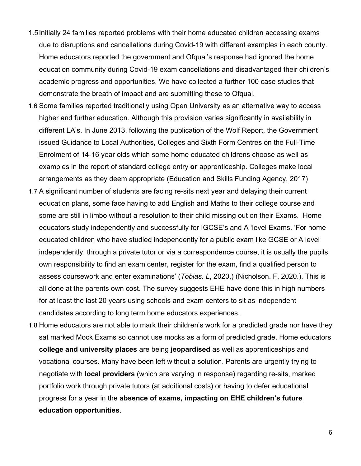- 1.5Initially 24 families reported problems with their home educated children accessing exams due to disruptions and cancellations during Covid-19 with different examples in each county. Home educators reported the government and Ofqual's response had ignored the home education community during Covid-19 exam cancellations and disadvantaged their children's academic progress and opportunities. We have collected a further 100 case studies that demonstrate the breath of impact and are submitting these to Ofqual.
- 1.6 Some families reported traditionally using Open University as an alternative way to access higher and further education. Although this provision varies significantly in availability in different LA's. In June 2013, following the publication of the Wolf Report, the Government issued Guidance to Local Authorities, Colleges and Sixth Form Centres on the Full-Time Enrolment of 14-16 year olds which some home educated childrens choose as well as examples in the report of standard college entry **or** apprenticeship. Colleges make local arrangements as they deem appropriate (Education and Skills Funding Agency, 2017)
- 1.7 A significant number of students are facing re-sits next year and delaying their current education plans, some face having to add English and Maths to their college course and some are still in limbo without a resolution to their child missing out on their Exams. Home educators study independently and successfully for IGCSE's and A 'level Exams. 'For home educated children who have studied independently for a public exam like GCSE or A level independently, through a private tutor or via a correspondence course, it is usually the pupils own responsibility to find an exam center, register for the exam, find a qualified person to assess coursework and enter examinations' (*Tobias. L*, 2020,) (Nicholson. F, 2020.). This is all done at the parents own cost. The survey suggests EHE have done this in high numbers for at least the last 20 years using schools and exam centers to sit as independent candidates according to long term home educators experiences.
- 1.8 Home educators are not able to mark their children's work for a predicted grade nor have they sat marked Mock Exams so cannot use mocks as a form of predicted grade. Home educators **college and university places** are being **jeopardised** as well as apprenticeships and vocational courses. Many have been left without a solution. Parents are urgently trying to negotiate with **local providers** (which are varying in response) regarding re-sits, marked portfolio work through private tutors (at additional costs) or having to defer educational progress for a year in the **absence of exams, impacting on EHE children's future education opportunities**.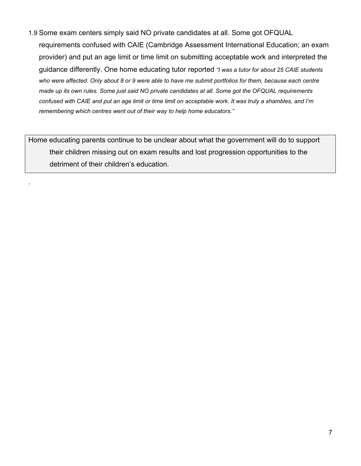1.9 Some exam centers simply said NO private candidates at all. Some got OFQUAL requirements confused with CAIE (Cambridge Assessment International Education; an exam provider) and put an age limit or time limit on submitting acceptable work and interpreted the guidance differently. One home educating tutor reported *"I was a tutor for about 25 CAIE students* who were affected. Only about 8 or 9 were able to have me submit portfolios for them, because each centre made up its own rules. Some just said NO private candidates at all. Some got the OFQUAL requirements confused with CAIE and put an age limit or time limit on acceptable work. It was truly a shambles, and I'm *remembering which centres went out of their way to help home educators."*

Home educating parents continue to be unclear about what the government will do to support their children missing out on exam results and lost progression opportunities to the detriment of their children's education.

.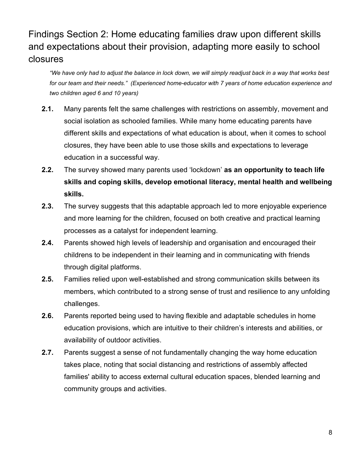## Findings Section 2: Home educating families draw upon different skills and expectations about their provision, adapting more easily to school closures

"We have only had to adjust the balance in lock down, we will simply readjust back in a way that works best *for our team and their needs." (Experienced home-educator with 7 years of home education experience and two children aged 6 and 10 years)*

- **2.1.** Many parents felt the same challenges with restrictions on assembly, movement and social isolation as schooled families. While many home educating parents have different skills and expectations of what education is about, when it comes to school closures, they have been able to use those skills and expectations to leverage education in a successful way.
- **2.2.** The survey showed many parents used 'lockdown' **as an opportunity to teach life skills and coping skills, develop emotional literacy, mental health and wellbeing skills.**
- **2.3.** The survey suggests that this adaptable approach led to more enjoyable experience and more learning for the children, focused on both creative and practical learning processes as a catalyst for independent learning.
- **2.4.** Parents showed high levels of leadership and organisation and encouraged their childrens to be independent in their learning and in communicating with friends through digital platforms.
- **2.5.** Families relied upon well-established and strong communication skills between its members, which contributed to a strong sense of trust and resilience to any unfolding challenges.
- **2.6.** Parents reported being used to having flexible and adaptable schedules in home education provisions, which are intuitive to their children's interests and abilities, or availability of outdoor activities.
- **2.7.** Parents suggest a sense of not fundamentally changing the way home education takes place, noting that social distancing and restrictions of assembly affected families' ability to access external cultural education spaces, blended learning and community groups and activities.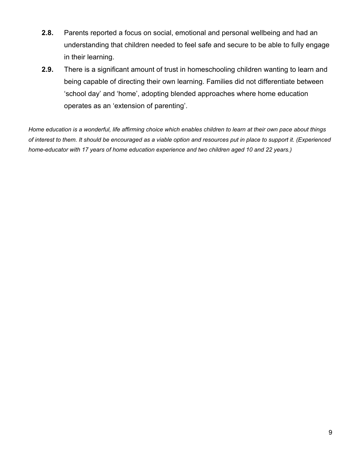- **2.8.** Parents reported a focus on social, emotional and personal wellbeing and had an understanding that children needed to feel safe and secure to be able to fully engage in their learning.
- **2.9.** There is a significant amount of trust in homeschooling children wanting to learn and being capable of directing their own learning. Families did not differentiate between 'school day' and 'home', adopting blended approaches where home education operates as an 'extension of parenting'.

Home education is a wonderful, life affirming choice which enables children to learn at their own pace about things of interest to them. It should be encouraged as a viable option and resources put in place to support it. (Experienced *home-educator with 17 years of home education experience and two children aged 10 and 22 years.)*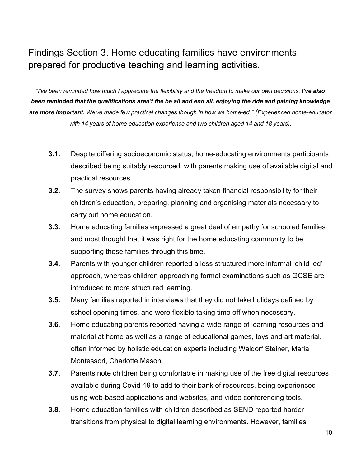#### Findings Section 3. Home educating families have environments prepared for productive teaching and learning activities.

"I've been reminded how much I appreciate the flexibility and the freedom to make our own decisions. I've also been reminded that the qualifications aren't the be all and end all, enjoying the ride and gaining knowledge *are more important. We've made few practical changes though in how we home-ed." (Experienced home-educator with 14 years of home education experience and two children aged 14 and 18 years).*

- **3.1.** Despite differing socioeconomic status, home-educating environments participants described being suitably resourced, with parents making use of available digital and practical resources.
- **3.2.** The survey shows parents having already taken financial responsibility for their children's education, preparing, planning and organising materials necessary to carry out home education.
- **3.3.** Home educating families expressed a great deal of empathy for schooled families and most thought that it was right for the home educating community to be supporting these families through this time.
- **3.4.** Parents with younger children reported a less structured more informal 'child led' approach, whereas children approaching formal examinations such as GCSE are introduced to more structured learning.
- **3.5.** Many families reported in interviews that they did not take holidays defined by school opening times, and were flexible taking time off when necessary.
- **3.6.** Home educating parents reported having a wide range of learning resources and material at home as well as a range of educational games, toys and art material, often informed by holistic education experts including Waldorf Steiner, Maria Montessori, Charlotte Mason.
- **3.7.** Parents note children being comfortable in making use of the free digital resources available during Covid-19 to add to their bank of resources, being experienced using web-based applications and websites, and video conferencing tools.
- **3.8.** Home education families with children described as SEND reported harder transitions from physical to digital learning environments. However, families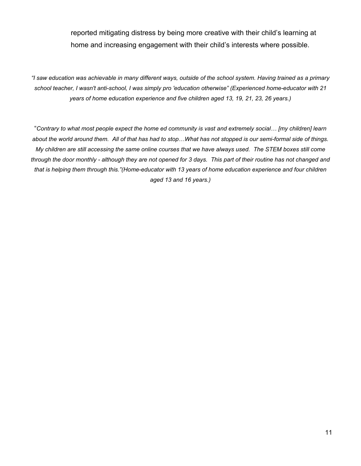reported mitigating distress by being more creative with their child's learning at home and increasing engagement with their child's interests where possible.

"I saw education was achievable in many different ways, outside of the school system. Having trained as a primary *school teacher, I wasn't anti-school, I was simply pro 'education otherwise" (Experienced home-educator with 21 years of home education experience and five children aged 13, 19, 21, 23, 26 years.)*

"Contrary to what most people expect the home ed community is vast and extremely social... [my children] learn about the world around them. All of that has had to stop...What has not stopped is our semi-formal side of things. My children are still accessing the same online courses that we have always used. The STEM boxes still come through the door monthly - although they are not opened for 3 days. This part of their routine has not changed and *that is helping them through this."(Home-educator with 13 years of home education experience and four children aged 13 and 16 years.)*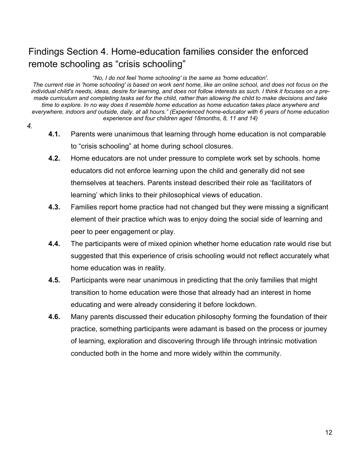### Findings Section 4. Home-education families consider the enforced remote schooling as "crisis schooling"

*"No, I do not feel 'home schooling' is the same as 'home education'.*

The current rise in 'home schooling' is based on work sent home, like an online school, and does not focus on the individual child's needs, ideas, desire for learning, and does not follow interests as such. I think it focuses on a premade curriculum and completing tasks set for the child, rather than allowing the child to make decisions and take time to explore. In no way does it resemble home education as home education takes place anywhere and *everywhere, indoors and outside, daily, at all hours." (Experienced home-educator with 6 years of home education experience and four children aged 18months, 8, 11 and 14)*

- *4.*
- **4.1.** Parents were unanimous that learning through home education is not comparable to "crisis schooling" at home during school closures.
- **4.2.** Home educators are not under pressure to complete work set by schools. home educators did not enforce learning upon the child and generally did not see themselves at teachers. Parents instead described their role as 'facilitators of learning' which links to their philosophical views of education.
- **4.3.** Families report home practice had not changed but they were missing a significant element of their practice which was to enjoy doing the social side of learning and peer to peer engagement or play.
- **4.4.** The participants were of mixed opinion whether home education rate would rise but suggested that this experience of crisis schooling would not reflect accurately what home education was in reality.
- **4.5.** Participants were near unanimous in predicting that the only families that might transition to home education were those that already had an interest in home educating and were already considering it before lockdown.
- **4.6.** Many parents discussed their education philosophy forming the foundation of their practice, something participants were adamant is based on the process or journey of learning, exploration and discovering through life through intrinsic motivation conducted both in the home and more widely within the community.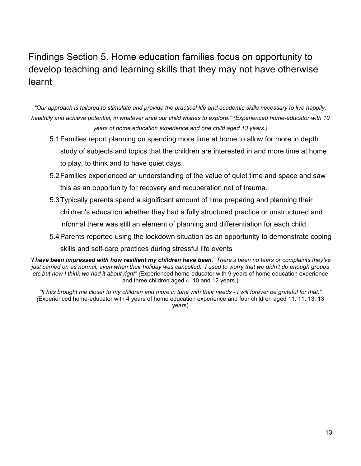## Findings Section 5. Home education families focus on opportunity to develop teaching and learning skills that they may not have otherwise learnt

"Our approach is tailored to stimulate and provide the practical life and academic skills necessary to live happily, healthily and achieve potential, in whatever area our child wishes to explore." (Experienced home-educator with 10 *years of home education experience and one child aged 13 years.)*

- 5.1Families report planning on spending more time at home to allow for more in depth study of subjects and topics that the children are interested in and more time at home to play, to think and to have quiet days.
- 5.2Families experienced an understanding of the value of quiet time and space and saw this as an opportunity for recovery and recuperation not of trauma.
- 5.3Typically parents spend a significant amount of time preparing and planning their

children's education whether they had a fully structured practice or unstructured and

informal there was still an element of planning and differentiation for each child.

5.4Parents reported using the lockdown situation as an opportunity to demonstrate coping

skills and self-care practices during stressful life events

"I have been impressed with how resilient my children have been. There's been no tears or complaints they've just carried on as normal, even when their holiday was cancelled. I used to worry that we didn't do enough groups *etc but now I think we had it about right" (*Experienced home-educator with 9 years of home education experience and three children aged 4, 10 and 12 years.)

"It has brought me closer to my children and more in tune with their needs - I will forever be grateful for that." *(*Experienced home-educator with 4 years of home education experience and four children aged 11, 11, 13, 13 years)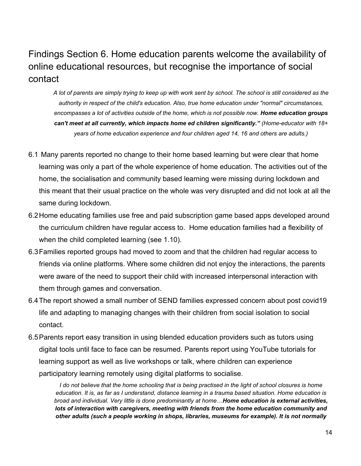### Findings Section 6. Home education parents welcome the availability of online educational resources, but recognise the importance of social contact

A lot of parents are simply trying to keep up with work sent by school. The school is still considered as the *authority in respect of the child's education. Also, true home education under "normal" circumstances, encompasses a lot of activities outside of the home, which is not possible now. Home education groups can't meet at all currently, which impacts home ed children significantly." (Home-educator with 18+ years of home education experience and four children aged 14, 16 and others are adults.)*

- 6.1 Many parents reported no change to their home based learning but were clear that home learning was only a part of the whole experience of home education. The activities out of the home, the socialisation and community based learning were missing during lockdown and this meant that their usual practice on the whole was very disrupted and did not look at all the same during lockdown.
- 6.2Home educating families use free and paid subscription game based apps developed around the curriculum children have regular access to. Home education families had a flexibility of when the child completed learning (see 1.10).
- 6.3Families reported groups had moved to zoom and that the children had regular access to friends via online platforms. Where some children did not enjoy the interactions, the parents were aware of the need to support their child with increased interpersonal interaction with them through games and conversation.
- 6.4The report showed a small number of SEND families expressed concern about post covid19 life and adapting to managing changes with their children from social isolation to social contact.
- 6.5Parents report easy transition in using blended education providers such as tutors using digital tools until face to face can be resumed. Parents report using YouTube tutorials for learning support as well as live workshops or talk, where children can experience participatory learning remotely using digital platforms to socialise.

I do not believe that the home schooling that is being practised in the light of school closures is home education. It is, as far as I understand, distance learning in a trauma based situation. Home education is *broad and individual. Very little is done predominantly at home…Home education is external activities, lots of interaction with caregivers, meeting with friends from the home education community and other adults (such a people working in shops, libraries, museums for example). It is not normally*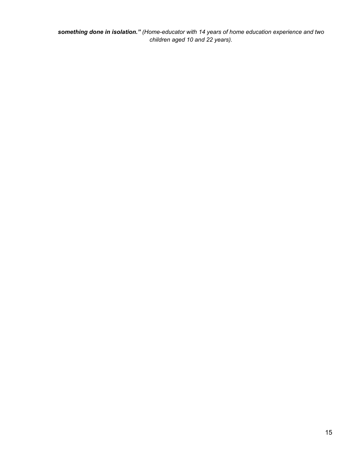*something done in isolation." (Home-educator with 14 years of home education experience and two children aged 10 and 22 years).*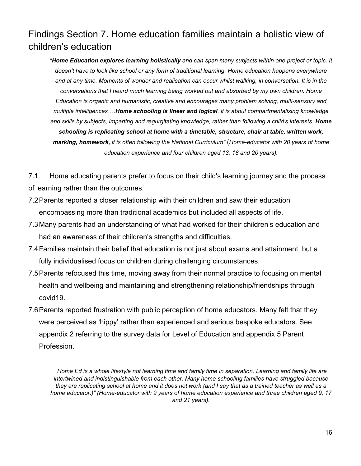#### Findings Section 7. Home education families maintain a holistic view of children's education

*"Home Education explores learning holistically and can span many subjects within one project or topic. It doesn't have to look like school or any form of traditional learning. Home education happens everywhere* and at any time. Moments of wonder and realisation can occur whilst walking, in conversation. It is in the *conversations that I heard much learning being worked out and absorbed by my own children. Home Education is organic and humanistic, creative and encourages many problem solving, multi-sensory and multiple intelligences….Home schooling is linear and logical, it is about compartmentalising knowledge and skills by subjects, imparting and regurgitating knowledge, rather than following a child's interests. Home schooling is replicating school at home with a timetable, structure, chair at table, written work, marking, homework, it is often following the National Curriculum"* (*Home-educator with 20 years of home education experience and four children aged 13, 18 and 20 years).*

7.1. Home educating parents prefer to focus on their child's learning journey and the process of learning rather than the outcomes.

- 7.2Parents reported a closer relationship with their children and saw their education encompassing more than traditional academics but included all aspects of life.
- 7.3Many parents had an understanding of what had worked for their children's education and had an awareness of their children's strengths and difficulties.
- 7.4Families maintain their belief that education is not just about exams and attainment, but a fully individualised focus on children during challenging circumstances.
- 7.5Parents refocused this time, moving away from their normal practice to focusing on mental health and wellbeing and maintaining and strengthening relationship/friendships through covid19.
- 7.6Parents reported frustration with public perception of home educators. Many felt that they were perceived as 'hippy' rather than experienced and serious bespoke educators. See appendix 2 referring to the survey data for Level of Education and appendix 5 Parent Profession.

"Home Ed is a whole lifestyle not learning time and family time in separation. Learning and family life are *intertwined and indistinguishable from each other. Many home schooling families have struggled because* they are replicating school at home and it does not work (and I say that as a trained teacher as well as a *home educator.)" (Home-educator with 9 years of home education experience and three children aged 9, 17 and 21 years).*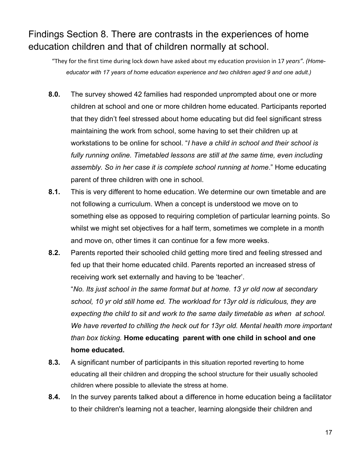### Findings Section 8. There are contrasts in the experiences of home education children and that of children normally at school.

"They for the first time during lock down have asked about my education provision in 17 *years". (Homeeducator with 17 years of home education experience and two children aged 9 and one adult.)*

- **8.0.** The survey showed 42 families had responded unprompted about one or more children at school and one or more children home educated. Participants reported that they didn't feel stressed about home educating but did feel significant stress maintaining the work from school, some having to set their children up at workstations to be online for school. "*I have a child in school and their school is fully running online. Timetabled lessons are still at the same time, even including assembly. So in her case it is complete school running at home*." Home educating parent of three children with one in school.
- **8.1.** This is very different to home education. We determine our own timetable and are not following a curriculum. When a concept is understood we move on to something else as opposed to requiring completion of particular learning points. So whilst we might set objectives for a half term, sometimes we complete in a month and move on, other times it can continue for a few more weeks.
- **8.2.** Parents reported their schooled child getting more tired and feeling stressed and fed up that their home educated child. Parents reported an increased stress of receiving work set externally and having to be 'teacher'.

"*No. Its just school in the same format but at home. 13 yr old now at secondary school, 10 yr old still home ed. The workload for 13yr old is ridiculous, they are expecting the child to sit and work to the same daily timetable as when at school. We have reverted to chilling the heck out for 13yr old. Mental health more important than box ticking.* **Home educating parent with one child in school and one home educated.**

- **8.3.** A significant number of participants in this situation reported reverting to home educating all their children and dropping the school structure for their usually schooled children where possible to alleviate the stress at home.
- **8.4.** In the survey parents talked about a difference in home education being a facilitator to their children's learning not a teacher, learning alongside their children and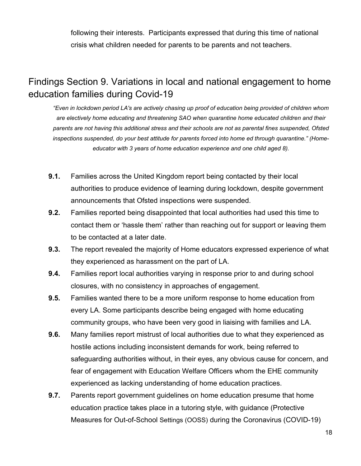following their interests. Participants expressed that during this time of national crisis what children needed for parents to be parents and not teachers.

#### Findings Section 9. Variations in local and national engagement to home education families during Covid-19

*"Even in lockdown period LA's are actively chasing up proof of education being provided of children whom are electively home educating and threatening SAO when quarantine home educated children and their* parents are not having this additional stress and their schools are not as parental fines suspended. Ofsted *inspections suspended, do your best attitude for parents forced into home ed through quarantine." (Homeeducator with 3 years of home education experience and one child aged 8).*

- **9.1.** Families across the United Kingdom report being contacted by their local authorities to produce evidence of learning during lockdown, despite government announcements that Ofsted inspections were suspended.
- **9.2.** Families reported being disappointed that local authorities had used this time to contact them or 'hassle them' rather than reaching out for support or leaving them to be contacted at a later date.
- **9.3.** The report revealed the majority of Home educators expressed experience of what they experienced as harassment on the part of LA.
- **9.4.** Families report local authorities varying in response prior to and during school closures, with no consistency in approaches of engagement.
- **9.5.** Families wanted there to be a more uniform response to home education from every LA. Some participants describe being engaged with home educating community groups, who have been very good in liaising with families and LA.
- **9.6.** Many families report mistrust of local authorities due to what they experienced as hostile actions including inconsistent demands for work, being referred to safeguarding authorities without, in their eyes, any obvious cause for concern, and fear of engagement with Education Welfare Officers whom the EHE community experienced as lacking understanding of home education practices.
- **9.7.** Parents report government guidelines on home education presume that home education practice takes place in a tutoring style, with guidance (Protective Measures for Out-of-School Settings (OOSS) during the Coronavirus (COVID-19)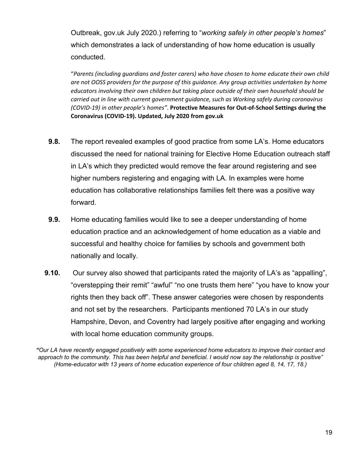Outbreak, gov.uk July 2020.) referring to "*working safely in other people's homes*" which demonstrates a lack of understanding of how home education is usually conducted.

"*Parents (including guardians and foster carers) who have chosen to home educate their own child are not OOSS providers for the purpose of this guidance. Any group activities undertaken by home educators involving their own children but taking place outside of their own household should be carried out in line with current government guidance, such as Working safely during coronavirus (COVID-19) in other people's homes"*. **Protective Measures for Out-of-School Settings during the Coronavirus (COVID-19). Updated, July 2020 from gov.uk** 

- **9.8.** The report revealed examples of good practice from some LA's. Home educators discussed the need for national training for Elective Home Education outreach staff in LA's which they predicted would remove the fear around registering and see higher numbers registering and engaging with LA. In examples were home education has collaborative relationships families felt there was a positive way forward.
- **9.9.** Home educating families would like to see a deeper understanding of home education practice and an acknowledgement of home education as a viable and successful and healthy choice for families by schools and government both nationally and locally.
- **9.10.** Our survey also showed that participants rated the majority of LA's as "appalling", "overstepping their remit" "awful" "no one trusts them here" "you have to know your rights then they back off". These answer categories were chosen by respondents and not set by the researchers. Participants mentioned 70 LA's in our study Hampshire, Devon, and Coventry had largely positive after engaging and working with local home education community groups.

"Our LA have recently engaged positively with some experienced home educators to improve their contact and approach to the community. This has been helpful and beneficial. I would now say the relationship is positive" *(Home-educator with 13 years of home education experience of four children aged 8, 14, 17, 18.)*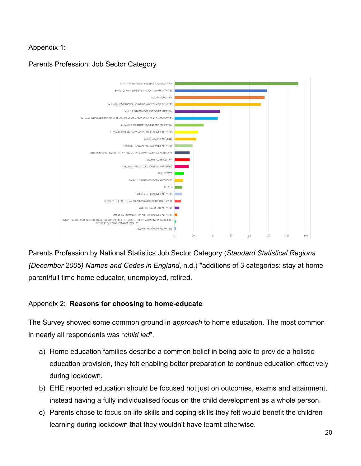Appendix 1:

Parents Profession: Job Sector Category



Parents Profession by National Statistics Job Sector Category (*Standard Statistical Regions (December 2005) Names and Codes in England*, n.d.) \*additions of 3 categories: stay at home parent/full time home educator, unemployed, retired.

#### Appendix 2: **Reasons for choosing to home-educate**

The Survey showed some common ground in *approach* to home education. The most common in nearly all respondents was "*child led*".

- a) Home education families describe a common belief in being able to provide a holistic education provision, they felt enabling better preparation to continue education effectively during lockdown.
- b) EHE reported education should be focused not just on outcomes, exams and attainment, instead having a fully individualised focus on the child development as a whole person.
- c) Parents chose to focus on life skills and coping skills they felt would benefit the children learning during lockdown that they wouldn't have learnt otherwise.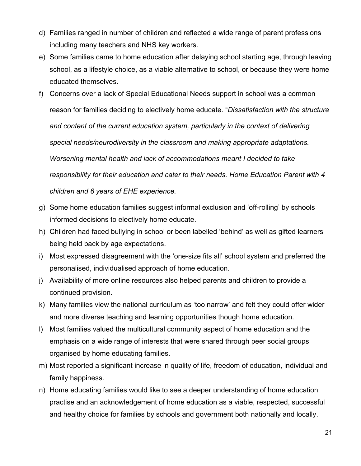- d) Families ranged in number of children and reflected a wide range of parent professions including many teachers and NHS key workers.
- e) Some families came to home education after delaying school starting age, through leaving school, as a lifestyle choice, as a viable alternative to school, or because they were home educated themselves.
- f) Concerns over a lack of Special Educational Needs support in school was a common reason for families deciding to electively home educate. "*Dissatisfaction with the structure and content of the current education system, particularly in the context of delivering special needs/neurodiversity in the classroom and making appropriate adaptations. Worsening mental health and lack of accommodations meant I decided to take responsibility for their education and cater to their needs. Home Education Parent with 4 children and 6 years of EHE experience.*
- g) Some home education families suggest informal exclusion and 'off-rolling' by schools informed decisions to electively home educate.
- h) Children had faced bullying in school or been labelled 'behind' as well as gifted learners being held back by age expectations.
- i) Most expressed disagreement with the 'one-size fits all' school system and preferred the personalised, individualised approach of home education.
- j) Availability of more online resources also helped parents and children to provide a continued provision.
- k) Many families view the national curriculum as 'too narrow' and felt they could offer wider and more diverse teaching and learning opportunities though home education.
- l) Most families valued the multicultural community aspect of home education and the emphasis on a wide range of interests that were shared through peer social groups organised by home educating families.
- m) Most reported a significant increase in quality of life, freedom of education, individual and family happiness.
- n) Home educating families would like to see a deeper understanding of home education practise and an acknowledgement of home education as a viable, respected, successful and healthy choice for families by schools and government both nationally and locally.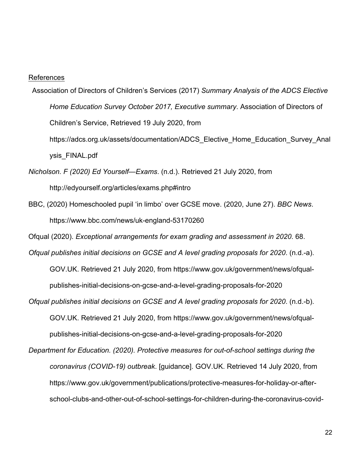#### References

- Association of Directors of Children's Services (2017) *Summary Analysis of the ADCS Elective Home Education Survey October 2017, Executive summary*. Association of Directors of Children's Service, Retrieved 19 July 2020, from https://adcs.org.uk/assets/documentation/ADCS\_Elective\_Home\_Education\_Survey\_Anal ysis\_FINAL.pdf
- *Nicholson. F (2020) Ed Yourself—Exams*. (n.d.). Retrieved 21 July 2020, from http://edyourself.org/articles/exams.php#intro
- BBC, (2020) Homeschooled pupil 'in limbo' over GCSE move. (2020, June 27). *BBC News*. https://www.bbc.com/news/uk-england-53170260

Ofqual (2020). *Exceptional arrangements for exam grading and assessment in 2020*. 68.

- *Ofqual publishes initial decisions on GCSE and A level grading proposals for 2020*. (n.d.-a). GOV.UK. Retrieved 21 July 2020, from https://www.gov.uk/government/news/ofqualpublishes-initial-decisions-on-gcse-and-a-level-grading-proposals-for-2020
- *Ofqual publishes initial decisions on GCSE and A level grading proposals for 2020*. (n.d.-b). GOV.UK. Retrieved 21 July 2020, from https://www.gov.uk/government/news/ofqualpublishes-initial-decisions-on-gcse-and-a-level-grading-proposals-for-2020
- *Department for Education. (2020). Protective measures for out-of-school settings during the coronavirus (COVID-19) outbreak*. [guidance]. GOV.UK. Retrieved 14 July 2020, from https://www.gov.uk/government/publications/protective-measures-for-holiday-or-afterschool-clubs-and-other-out-of-school-settings-for-children-during-the-coronavirus-covid-